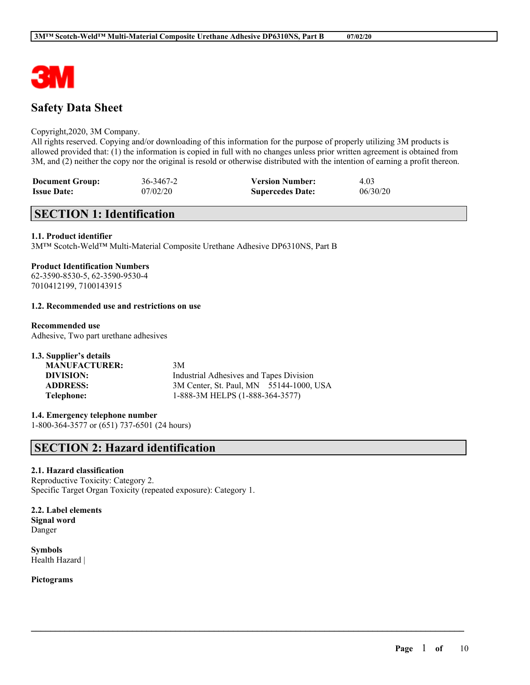

# **Safety Data Sheet**

## Copyright,2020, 3M Company.

All rights reserved. Copying and/or downloading of this information for the purpose of properly utilizing 3M products is allowed provided that: (1) the information is copied in full with no changes unless prior written agreement is obtained from 3M, and (2) neither the copy nor the original is resold or otherwise distributed with the intention of earning a profit thereon.

 $\mathcal{L}_\mathcal{L} = \mathcal{L}_\mathcal{L} = \mathcal{L}_\mathcal{L} = \mathcal{L}_\mathcal{L} = \mathcal{L}_\mathcal{L} = \mathcal{L}_\mathcal{L} = \mathcal{L}_\mathcal{L} = \mathcal{L}_\mathcal{L} = \mathcal{L}_\mathcal{L} = \mathcal{L}_\mathcal{L} = \mathcal{L}_\mathcal{L} = \mathcal{L}_\mathcal{L} = \mathcal{L}_\mathcal{L} = \mathcal{L}_\mathcal{L} = \mathcal{L}_\mathcal{L} = \mathcal{L}_\mathcal{L} = \mathcal{L}_\mathcal{L}$ 

| <b>Document Group:</b> | 36-3467-2 | <b>Version Number:</b>  | 4.03     |
|------------------------|-----------|-------------------------|----------|
| <b>Issue Date:</b>     | 07/02/20  | <b>Supercedes Date:</b> | 06/30/20 |

# **SECTION 1: Identification**

## **1.1. Product identifier**

3M™ Scotch-Weld™ Multi-Material Composite Urethane Adhesive DP6310NS, Part B

## **Product Identification Numbers**

62-3590-8530-5, 62-3590-9530-4 7010412199, 7100143915

## **1.2. Recommended use and restrictions on use**

## **Recommended use**

Adhesive, Two part urethane adhesives

| 1.3. Supplier's details |                                         |
|-------------------------|-----------------------------------------|
| <b>MANUFACTURER:</b>    | 3M                                      |
| DIVISION:               | Industrial Adhesives and Tapes Division |
| <b>ADDRESS:</b>         | 3M Center, St. Paul, MN 55144-1000, USA |
| Telephone:              | 1-888-3M HELPS (1-888-364-3577)         |

**1.4. Emergency telephone number** 1-800-364-3577 or (651) 737-6501 (24 hours)

## **SECTION 2: Hazard identification**

## **2.1. Hazard classification**

Reproductive Toxicity: Category 2. Specific Target Organ Toxicity (repeated exposure): Category 1.

**2.2. Label elements Signal word** Danger

**Symbols** Health Hazard |

**Pictograms**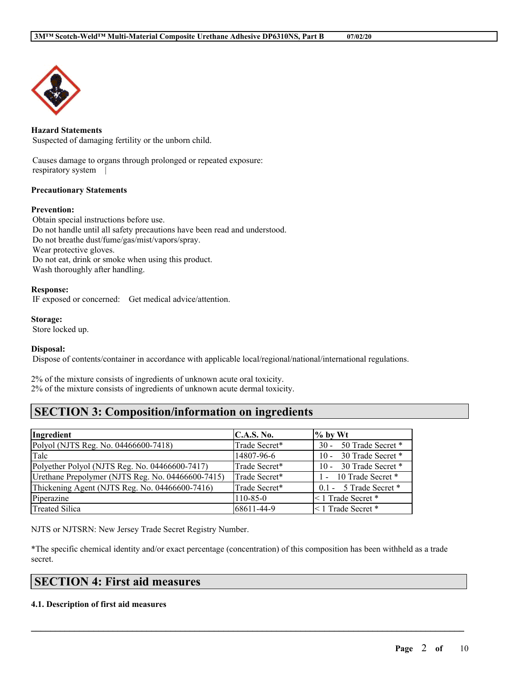

## **Hazard Statements**

Suspected of damaging fertility or the unborn child.

Causes damage to organs through prolonged or repeated exposure: respiratory system |

## **Precautionary Statements**

#### **Prevention:**

Obtain special instructions before use. Do not handle until all safety precautions have been read and understood. Do not breathe dust/fume/gas/mist/vapors/spray. Wear protective gloves. Do not eat, drink or smoke when using this product. Wash thoroughly after handling.

#### **Response:**

IF exposed or concerned: Get medical advice/attention.

#### **Storage:**

Store locked up.

## **Disposal:**

Dispose of contents/container in accordance with applicable local/regional/national/international regulations.

2% of the mixture consists of ingredients of unknown acute oral toxicity. 2% of the mixture consists of ingredients of unknown acute dermal toxicity.

# **SECTION 3: Composition/information on ingredients**

| Ingredient                                        | <b>C.A.S. No.</b> | $\%$ by Wt              |
|---------------------------------------------------|-------------------|-------------------------|
| Polyol (NJTS Reg. No. 04466600-7418)              | Trade Secret*     | 30 - 50 Trade Secret *  |
| Talc                                              | 14807-96-6        | 10 - 30 Trade Secret *  |
| Polyether Polyol (NJTS Reg. No. 04466600-7417)    | Trade Secret*     | 10 - 30 Trade Secret *  |
| Urethane Prepolymer (NJTS Reg. No. 04466600-7415) | Trade Secret*     | 1 - 10 Trade Secret *   |
| Thickening Agent (NJTS Reg. No. 04466600-7416)    | Trade Secret*     | 0.1 - 5 Trade Secret *  |
| Piperazine                                        | $110 - 85 - 0$    | <1 Trade Secret *       |
| <b>Treated Silica</b>                             | 68611-44-9        | $\leq 1$ Trade Secret * |

NJTS or NJTSRN: New Jersey Trade Secret Registry Number.

\*The specific chemical identity and/or exact percentage (concentration) of this composition has been withheld as a trade secret.

 $\mathcal{L}_\mathcal{L} = \mathcal{L}_\mathcal{L} = \mathcal{L}_\mathcal{L} = \mathcal{L}_\mathcal{L} = \mathcal{L}_\mathcal{L} = \mathcal{L}_\mathcal{L} = \mathcal{L}_\mathcal{L} = \mathcal{L}_\mathcal{L} = \mathcal{L}_\mathcal{L} = \mathcal{L}_\mathcal{L} = \mathcal{L}_\mathcal{L} = \mathcal{L}_\mathcal{L} = \mathcal{L}_\mathcal{L} = \mathcal{L}_\mathcal{L} = \mathcal{L}_\mathcal{L} = \mathcal{L}_\mathcal{L} = \mathcal{L}_\mathcal{L}$ 

# **SECTION 4: First aid measures**

## **4.1. Description of first aid measures**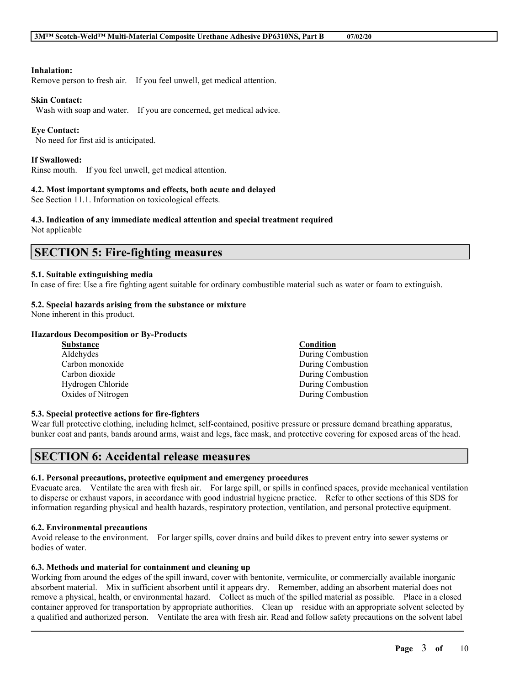## **Inhalation:**

Remove person to fresh air. If you feel unwell, get medical attention.

## **Skin Contact:**

Wash with soap and water. If you are concerned, get medical advice.

## **Eye Contact:**

No need for first aid is anticipated.

## **If Swallowed:**

Rinse mouth. If you feel unwell, get medical attention.

## **4.2. Most important symptoms and effects, both acute and delayed**

See Section 11.1. Information on toxicological effects.

## **4.3. Indication of any immediate medical attention and special treatment required**

Not applicable

## **SECTION 5: Fire-fighting measures**

## **5.1. Suitable extinguishing media**

In case of fire: Use a fire fighting agent suitable for ordinary combustible material such as water or foam to extinguish.

## **5.2. Special hazards arising from the substance or mixture**

None inherent in this product.

## **Hazardous Decomposition or By-Products**

| Substance          | Condition         |
|--------------------|-------------------|
| Aldehydes          | During Combustion |
| Carbon monoxide    | During Combustion |
| Carbon dioxide     | During Combustion |
| Hydrogen Chloride  | During Combustion |
| Oxides of Nitrogen | During Combustion |

## **5.3. Special protective actions for fire-fighters**

Wear full protective clothing, including helmet, self-contained, positive pressure or pressure demand breathing apparatus, bunker coat and pants, bands around arms, waist and legs, face mask, and protective covering for exposed areas of the head.

## **SECTION 6: Accidental release measures**

## **6.1. Personal precautions, protective equipment and emergency procedures**

Evacuate area. Ventilate the area with fresh air. For large spill, or spills in confined spaces, provide mechanical ventilation to disperse or exhaust vapors, in accordance with good industrial hygiene practice. Refer to other sections of this SDS for information regarding physical and health hazards, respiratory protection, ventilation, and personal protective equipment.

## **6.2. Environmental precautions**

Avoid release to the environment. For larger spills, cover drains and build dikes to prevent entry into sewer systems or bodies of water.

## **6.3. Methods and material for containment and cleaning up**

Working from around the edges of the spill inward, cover with bentonite, vermiculite, or commercially available inorganic absorbent material. Mix in sufficient absorbent until it appears dry. Remember, adding an absorbent material does not remove a physical, health, or environmental hazard. Collect as much of the spilled material as possible. Place in a closed container approved for transportation by appropriate authorities. Clean up residue with an appropriate solvent selected by a qualified and authorized person. Ventilate the area with fresh air. Read and follow safety precautions on the solvent label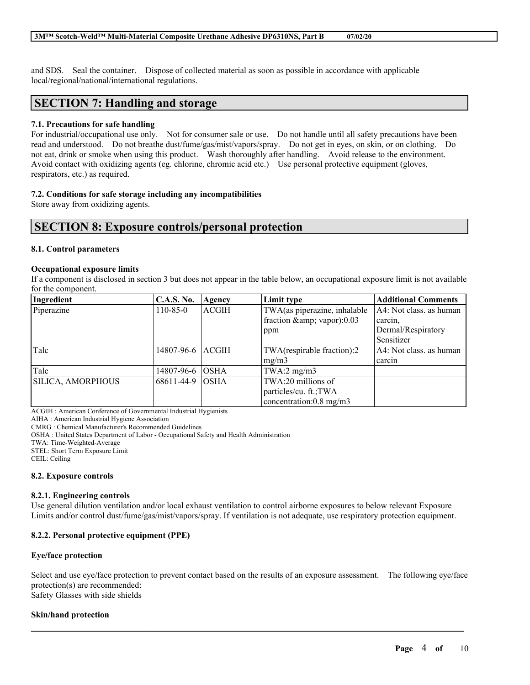and SDS. Seal the container. Dispose of collected material as soon as possible in accordance with applicable local/regional/national/international regulations.

## **SECTION 7: Handling and storage**

## **7.1. Precautions for safe handling**

For industrial/occupational use only. Not for consumer sale or use. Do not handle until all safety precautions have been read and understood. Do not breathe dust/fume/gas/mist/vapors/spray. Do not get in eyes, on skin, or on clothing. Do not eat, drink or smoke when using this product. Wash thoroughly after handling. Avoid release to the environment. Avoid contact with oxidizing agents (eg. chlorine, chromic acid etc.) Use personal protective equipment (gloves, respirators, etc.) as required.

## **7.2. Conditions for safe storage including any incompatibilities**

Store away from oxidizing agents.

## **SECTION 8: Exposure controls/personal protection**

## **8.1. Control parameters**

#### **Occupational exposure limits**

If a component is disclosed in section 3 but does not appear in the table below, an occupational exposure limit is not available for the component.

| Ingredient        | <b>C.A.S. No.</b>  | Agency       | Limit type                   | <b>Additional Comments</b> |
|-------------------|--------------------|--------------|------------------------------|----------------------------|
| Piperazine        | $110 - 85 - 0$     | <b>ACGIH</b> | TWA(as piperazine, inhalable | A4: Not class. as human    |
|                   |                    |              | fraction & amp; vapor):0.03  | carcin.                    |
|                   |                    |              | ppm                          | Dermal/Respiratory         |
|                   |                    |              |                              | Sensitizer                 |
| Talc              | 14807-96-6   ACGIH |              | TWA(respirable fraction):2   | A4: Not class, as human    |
|                   |                    |              | mg/m3                        | carcin                     |
| Talc              | 14807-96-6         | <b>OSHA</b>  | TWA:2 $mg/m3$                |                            |
| SILICA, AMORPHOUS | 68611-44-9         | <b>OSHA</b>  | TWA:20 millions of           |                            |
|                   |                    |              | particles/cu. ft.; TWA       |                            |
|                   |                    |              | concentration:0.8 mg/m3      |                            |

ACGIH : American Conference of Governmental Industrial Hygienists

AIHA : American Industrial Hygiene Association

CMRG : Chemical Manufacturer's Recommended Guidelines

OSHA : United States Department of Labor - Occupational Safety and Health Administration

TWA: Time-Weighted-Average

STEL: Short Term Exposure Limit

CEIL: Ceiling

## **8.2. Exposure controls**

#### **8.2.1. Engineering controls**

Use general dilution ventilation and/or local exhaust ventilation to control airborne exposures to below relevant Exposure Limits and/or control dust/fume/gas/mist/vapors/spray. If ventilation is not adequate, use respiratory protection equipment.

## **8.2.2. Personal protective equipment (PPE)**

## **Eye/face protection**

Select and use eye/face protection to prevent contact based on the results of an exposure assessment. The following eye/face protection(s) are recommended: Safety Glasses with side shields

 $\mathcal{L}_\mathcal{L} = \mathcal{L}_\mathcal{L} = \mathcal{L}_\mathcal{L} = \mathcal{L}_\mathcal{L} = \mathcal{L}_\mathcal{L} = \mathcal{L}_\mathcal{L} = \mathcal{L}_\mathcal{L} = \mathcal{L}_\mathcal{L} = \mathcal{L}_\mathcal{L} = \mathcal{L}_\mathcal{L} = \mathcal{L}_\mathcal{L} = \mathcal{L}_\mathcal{L} = \mathcal{L}_\mathcal{L} = \mathcal{L}_\mathcal{L} = \mathcal{L}_\mathcal{L} = \mathcal{L}_\mathcal{L} = \mathcal{L}_\mathcal{L}$ 

## **Skin/hand protection**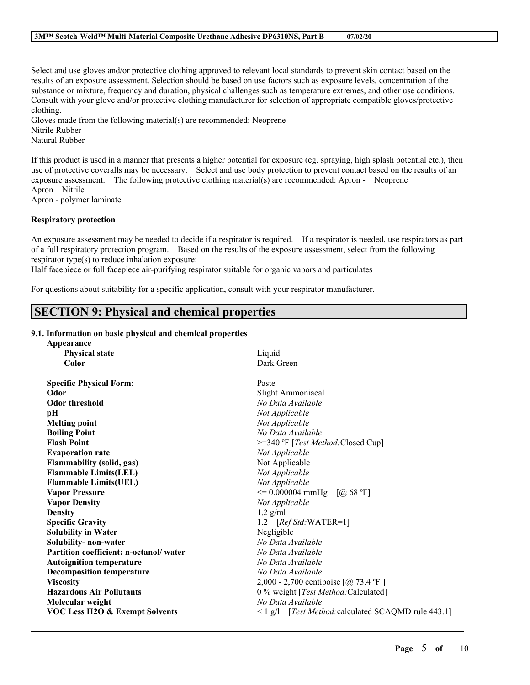Select and use gloves and/or protective clothing approved to relevant local standards to prevent skin contact based on the results of an exposure assessment. Selection should be based on use factors such as exposure levels, concentration of the substance or mixture, frequency and duration, physical challenges such as temperature extremes, and other use conditions. Consult with your glove and/or protective clothing manufacturer for selection of appropriate compatible gloves/protective clothing.

Gloves made from the following material(s) are recommended: Neoprene

Nitrile Rubber

Natural Rubber

If this product is used in a manner that presents a higher potential for exposure (eg. spraying, high splash potential etc.), then use of protective coveralls may be necessary. Select and use body protection to prevent contact based on the results of an exposure assessment. The following protective clothing material(s) are recommended: Apron - Neoprene Apron – Nitrile Apron - polymer laminate

**Respiratory protection**

An exposure assessment may be needed to decide if a respirator is required. If a respirator is needed, use respirators as part of a full respiratory protection program. Based on the results of the exposure assessment, select from the following respirator type(s) to reduce inhalation exposure:

Half facepiece or full facepiece air-purifying respirator suitable for organic vapors and particulates

For questions about suitability for a specific application, consult with your respirator manufacturer.

# **SECTION 9: Physical and chemical properties**

## **9.1. Information on basic physical and chemical properties**

| Appearance                                |                                                          |
|-------------------------------------------|----------------------------------------------------------|
| <b>Physical state</b>                     | Liquid                                                   |
| Color                                     | Dark Green                                               |
| <b>Specific Physical Form:</b>            | Paste                                                    |
| Odor                                      | Slight Ammoniacal                                        |
| <b>Odor threshold</b>                     | No Data Available                                        |
| pН                                        | Not Applicable                                           |
| <b>Melting point</b>                      | Not Applicable                                           |
| <b>Boiling Point</b>                      | No Data Available                                        |
| <b>Flash Point</b>                        | >=340 °F [Test Method: Closed Cup]                       |
| <b>Evaporation rate</b>                   | Not Applicable                                           |
| <b>Flammability (solid, gas)</b>          | Not Applicable                                           |
| <b>Flammable Limits(LEL)</b>              | Not Applicable                                           |
| <b>Flammable Limits(UEL)</b>              | Not Applicable                                           |
| <b>Vapor Pressure</b>                     | $\leq$ 0.000004 mmHg [@ 68 °F]                           |
| <b>Vapor Density</b>                      | Not Applicable                                           |
| <b>Density</b>                            | $1.2$ g/ml                                               |
| <b>Specific Gravity</b>                   | 1.2 $[RefStd:WATER=1]$                                   |
| <b>Solubility in Water</b>                | Negligible                                               |
| Solubility- non-water                     | No Data Available                                        |
| Partition coefficient: n-octanol/water    | No Data Available                                        |
| <b>Autoignition temperature</b>           | No Data Available                                        |
| <b>Decomposition temperature</b>          | No Data Available                                        |
| <b>Viscosity</b>                          | 2,000 - 2,700 centipoise $[@ 73.4 °F]$                   |
| <b>Hazardous Air Pollutants</b>           | 0 % weight [Test Method: Calculated]                     |
| Molecular weight                          | No Data Available                                        |
| <b>VOC Less H2O &amp; Exempt Solvents</b> | $\leq$ 1 g/l [Test Method: calculated SCAQMD rule 443.1] |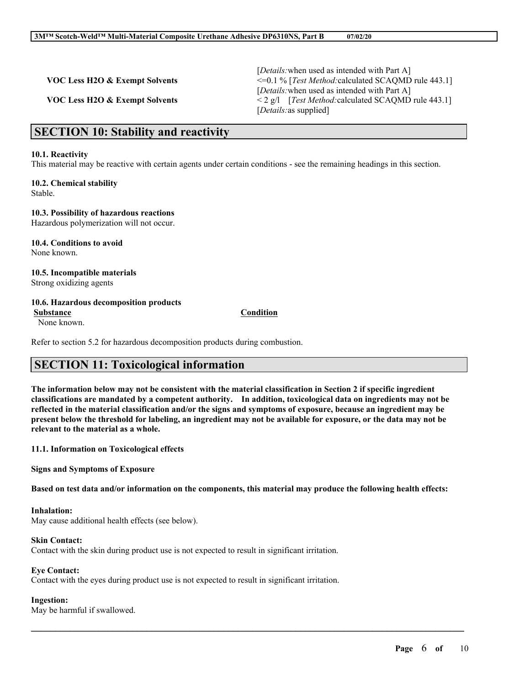|                                | [ <i>Details</i> : when used as intended with Part A]            |
|--------------------------------|------------------------------------------------------------------|
| VOC Less H2O & Exempt Solvents | $\leq 0.1\%$ [ <i>Test Method:</i> calculated SCAQMD rule 443.1] |
|                                | [ <i>Details</i> : when used as intended with Part A]            |
| VOC Less H2O & Exempt Solvents | $\leq$ 2 g/l [ <i>Test Method:calculated SCAQMD rule 443.1</i> ] |
|                                | <i>[Details: as supplied]</i>                                    |

## **SECTION 10: Stability and reactivity**

#### **10.1. Reactivity**

This material may be reactive with certain agents under certain conditions - see the remaining headings in this section.

#### **10.2. Chemical stability** Stable.

**10.3. Possibility of hazardous reactions** Hazardous polymerization will not occur.

**10.4. Conditions to avoid** None known.

**10.5. Incompatible materials** Strong oxidizing agents

#### **10.6. Hazardous decomposition products**

None known.

Refer to section 5.2 for hazardous decomposition products during combustion.

# **SECTION 11: Toxicological information**

The information below may not be consistent with the material classification in Section 2 if specific ingredient **classifications are mandated by a competent authority. In addition, toxicological data on ingredients may not be** reflected in the material classification and/or the signs and symptoms of exposure, because an ingredient may be present below the threshold for labeling, an ingredient may not be available for exposure, or the data may not be **relevant to the material as a whole.**

**11.1. Information on Toxicological effects**

**Signs and Symptoms of Exposure**

Based on test data and/or information on the components, this material may produce the following health effects:

 $\mathcal{L}_\mathcal{L} = \mathcal{L}_\mathcal{L} = \mathcal{L}_\mathcal{L} = \mathcal{L}_\mathcal{L} = \mathcal{L}_\mathcal{L} = \mathcal{L}_\mathcal{L} = \mathcal{L}_\mathcal{L} = \mathcal{L}_\mathcal{L} = \mathcal{L}_\mathcal{L} = \mathcal{L}_\mathcal{L} = \mathcal{L}_\mathcal{L} = \mathcal{L}_\mathcal{L} = \mathcal{L}_\mathcal{L} = \mathcal{L}_\mathcal{L} = \mathcal{L}_\mathcal{L} = \mathcal{L}_\mathcal{L} = \mathcal{L}_\mathcal{L}$ 

#### **Inhalation:**

May cause additional health effects (see below).

#### **Skin Contact:**

Contact with the skin during product use is not expected to result in significant irritation.

## **Eye Contact:**

Contact with the eyes during product use is not expected to result in significant irritation.

**Ingestion:**

May be harmful if swallowed.

## **Substance Condition**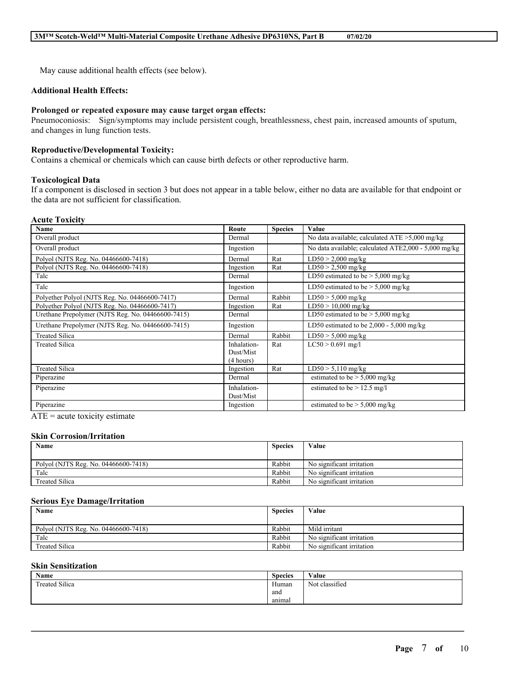May cause additional health effects (see below).

## **Additional Health Effects:**

## **Prolonged or repeated exposure may cause target organ effects:**

Pneumoconiosis: Sign/symptoms may include persistent cough, breathlessness, chest pain, increased amounts of sputum, and changes in lung function tests.

## **Reproductive/Developmental Toxicity:**

Contains a chemical or chemicals which can cause birth defects or other reproductive harm.

## **Toxicological Data**

If a component is disclosed in section 3 but does not appear in a table below, either no data are available for that endpoint or the data are not sufficient for classification.

## **Acute Toxicity**

| Name                                              | Route                                 | <b>Species</b> | <b>Value</b>                                         |
|---------------------------------------------------|---------------------------------------|----------------|------------------------------------------------------|
| Overall product                                   | Dermal                                |                | No data available; calculated $ATE > 5,000$ mg/kg    |
| Overall product                                   | Ingestion                             |                | No data available; calculated ATE2,000 - 5,000 mg/kg |
| Polyol (NJTS Reg. No. 04466600-7418)              | Dermal                                | Rat            | $LD50 > 2,000$ mg/kg                                 |
| Polyol (NJTS Reg. No. 04466600-7418)              | Ingestion                             | Rat            | $LD50 > 2,500$ mg/kg                                 |
| Talc                                              | Dermal                                |                | LD50 estimated to be $> 5,000$ mg/kg                 |
| Talc                                              | Ingestion                             |                | LD50 estimated to be $> 5,000$ mg/kg                 |
| Polyether Polyol (NJTS Reg. No. 04466600-7417)    | Dermal                                | Rabbit         | $LD50 > 5,000$ mg/kg                                 |
| Polyether Polyol (NJTS Reg. No. 04466600-7417)    | Ingestion                             | Rat            | $LD50 > 10,000$ mg/kg                                |
| Urethane Prepolymer (NJTS Reg. No. 04466600-7415) | Dermal                                |                | LD50 estimated to be $> 5,000$ mg/kg                 |
| Urethane Prepolymer (NJTS Reg. No. 04466600-7415) | Ingestion                             |                | LD50 estimated to be $2,000 - 5,000$ mg/kg           |
| <b>Treated Silica</b>                             | Dermal                                | Rabbit         | $LD50 > 5,000$ mg/kg                                 |
| <b>Treated Silica</b>                             | Inhalation-<br>Dust/Mist<br>(4 hours) | Rat            | $LC50 > 0.691$ mg/l                                  |
| <b>Treated Silica</b>                             | Ingestion                             | Rat            | $LD50 > 5,110$ mg/kg                                 |
| Piperazine                                        | Dermal                                |                | estimated to be $> 5,000$ mg/kg                      |
| Piperazine                                        | Inhalation-<br>Dust/Mist              |                | estimated to be $> 12.5$ mg/l                        |
| Piperazine                                        | Ingestion                             |                | estimated to be $> 5,000$ mg/kg                      |

 $ATE = acute$  toxicity estimate

#### **Skin Corrosion/Irritation**

| Name                                 | <b>Species</b> | Value                     |
|--------------------------------------|----------------|---------------------------|
|                                      |                |                           |
| Polyol (NJTS Reg. No. 04466600-7418) | Rabbit         | No significant irritation |
| Talc                                 | Rabbit         | No significant irritation |
| <b>Treated Silica</b>                | Rabbit         | No significant irritation |

#### **Serious Eye Damage/Irritation**

| Name                                 | <b>Species</b> | Value                     |
|--------------------------------------|----------------|---------------------------|
|                                      |                |                           |
| Polyol (NJTS Reg. No. 04466600-7418) | Rabbit         | Mild irritant             |
| Talc                                 | Rabbit         | No significant irritation |
| <b>Treated Silica</b>                | Rabbit         | No significant irritation |

## **Skin Sensitization**

| Name                  | <b>Species</b> | Value          |
|-----------------------|----------------|----------------|
| <b>Treated Silica</b> | Human          | Not classified |
|                       | and            |                |
|                       | animal         |                |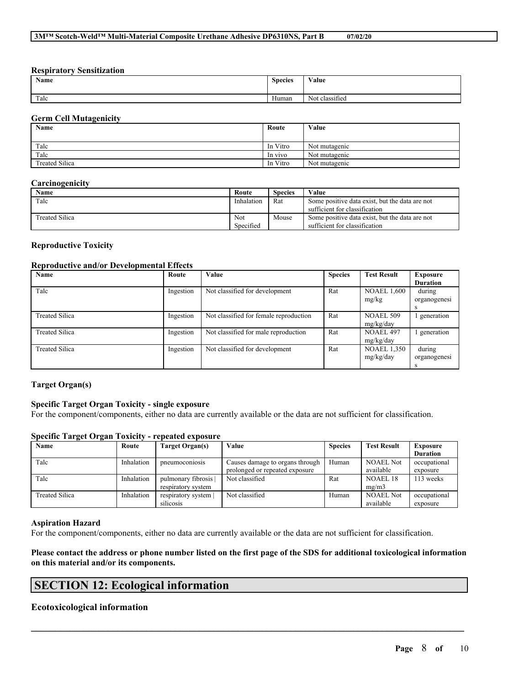## **Respiratory Sensitization**

| Name | <b>Species</b><br>. | Value                                            |
|------|---------------------|--------------------------------------------------|
| Talc | Human               | $\cdot$ $\sim$<br>$\mathbf{v}$<br>Not classified |

## **Germ Cell Mutagenicity**

| Name                  | Route    | Value         |
|-----------------------|----------|---------------|
|                       |          |               |
| Talc                  | In Vitro | Not mutagenic |
| Talc                  | In vivo  | Not mutagenic |
| <b>Treated Silica</b> | In Vitro | Not mutagenic |

#### **Carcinogenicity**

| Name                  | Route      | <b>Species</b> | Value                                          |
|-----------------------|------------|----------------|------------------------------------------------|
| Talc                  | Inhalation | Rat            | Some positive data exist, but the data are not |
|                       |            |                | sufficient for classification                  |
| <b>Treated Silica</b> | Not        | Mouse          | Some positive data exist, but the data are not |
|                       | Specified  |                | sufficient for classification                  |

## **Reproductive Toxicity**

#### **Reproductive and/or Developmental Effects**

| Name                  | Route     | Value                                  | <b>Species</b> | <b>Test Result</b> | <b>Exposure</b> |
|-----------------------|-----------|----------------------------------------|----------------|--------------------|-----------------|
|                       |           |                                        |                |                    | <b>Duration</b> |
| Talc                  | Ingestion | Not classified for development         | Rat            | <b>NOAEL 1,600</b> | during          |
|                       |           |                                        |                | mg/kg              | organogenesi    |
|                       |           |                                        |                |                    | S               |
| <b>Treated Silica</b> | Ingestion | Not classified for female reproduction | Rat            | <b>NOAEL 509</b>   | generation      |
|                       |           |                                        |                | mg/kg/day          |                 |
| <b>Treated Silica</b> | Ingestion | Not classified for male reproduction   | Rat            | <b>NOAEL 497</b>   | generation      |
|                       |           |                                        |                | mg/kg/day          |                 |
| Treated Silica        | Ingestion | Not classified for development         | Rat            | <b>NOAEL 1,350</b> | during          |
|                       |           |                                        |                | mg/kg/day          | organogenesi    |
|                       |           |                                        |                |                    |                 |

## **Target Organ(s)**

## **Specific Target Organ Toxicity - single exposure**

For the component/components, either no data are currently available or the data are not sufficient for classification.

#### **Specific Target Organ Toxicity - repeated exposure**

| Name           | Route      | Target Organ(s)    | Value                           | <b>Species</b> | <b>Test Result</b> | <b>Exposure</b> |
|----------------|------------|--------------------|---------------------------------|----------------|--------------------|-----------------|
|                |            |                    |                                 |                |                    | <b>Duration</b> |
| Talc           | Inhalation | pneumoconiosis     | Causes damage to organs through | Human          | NOAEL Not          | occupational    |
|                |            |                    | prolonged or repeated exposure  |                | available          | exposure        |
| Talc           | Inhalation | pulmonary fibrosis | Not classified                  | Rat            | NOAEL 18           | 113 weeks       |
|                |            | respiratory system |                                 |                | mg/m3              |                 |
| Treated Silica | Inhalation | respiratory system | Not classified                  | Human          | <b>NOAEL Not</b>   | occupational    |
|                |            | silicosis          |                                 |                | available          | exposure        |

## **Aspiration Hazard**

For the component/components, either no data are currently available or the data are not sufficient for classification.

Please contact the address or phone number listed on the first page of the SDS for additional toxicological information **on this material and/or its components.**

 $\mathcal{L}_\mathcal{L} = \mathcal{L}_\mathcal{L} = \mathcal{L}_\mathcal{L} = \mathcal{L}_\mathcal{L} = \mathcal{L}_\mathcal{L} = \mathcal{L}_\mathcal{L} = \mathcal{L}_\mathcal{L} = \mathcal{L}_\mathcal{L} = \mathcal{L}_\mathcal{L} = \mathcal{L}_\mathcal{L} = \mathcal{L}_\mathcal{L} = \mathcal{L}_\mathcal{L} = \mathcal{L}_\mathcal{L} = \mathcal{L}_\mathcal{L} = \mathcal{L}_\mathcal{L} = \mathcal{L}_\mathcal{L} = \mathcal{L}_\mathcal{L}$ 

# **SECTION 12: Ecological information**

## **Ecotoxicological information**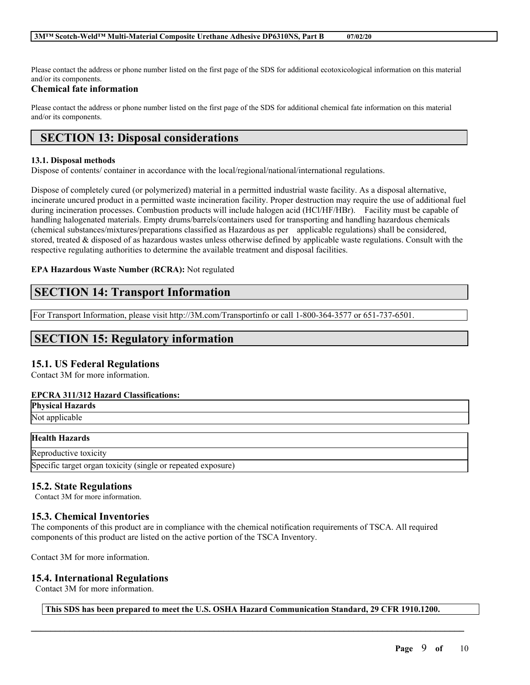Please contact the address or phone number listed on the first page of the SDS for additional ecotoxicological information on this material and/or its components.

## **Chemical fate information**

Please contact the address or phone number listed on the first page of the SDS for additional chemical fate information on this material and/or its components.

# **SECTION 13: Disposal considerations**

## **13.1. Disposal methods**

Dispose of contents/ container in accordance with the local/regional/national/international regulations.

Dispose of completely cured (or polymerized) material in a permitted industrial waste facility. As a disposal alternative, incinerate uncured product in a permitted waste incineration facility. Proper destruction may require the use of additional fuel during incineration processes. Combustion products will include halogen acid (HCl/HF/HBr). Facility must be capable of handling halogenated materials. Empty drums/barrels/containers used for transporting and handling hazardous chemicals (chemical substances/mixtures/preparations classified as Hazardous as per applicable regulations) shall be considered, stored, treated & disposed of as hazardous wastes unless otherwise defined by applicable waste regulations. Consult with the respective regulating authorities to determine the available treatment and disposal facilities.

## **EPA Hazardous Waste Number (RCRA):** Not regulated

## **SECTION 14: Transport Information**

For Transport Information, please visit http://3M.com/Transportinfo or call 1-800-364-3577 or 651-737-6501.

# **SECTION 15: Regulatory information**

## **15.1. US Federal Regulations**

Contact 3M for more information.

## **EPCRA 311/312 Hazard Classifications:**

|  | <b>Physical Hazards</b><br>Not applicable |
|--|-------------------------------------------|
|  |                                           |

## **Health Hazards**

Reproductive toxicity Specific target organ toxicity (single or repeated exposure)

## **15.2. State Regulations**

Contact 3M for more information.

## **15.3. Chemical Inventories**

The components of this product are in compliance with the chemical notification requirements of TSCA. All required components of this product are listed on the active portion of the TSCA Inventory.

Contact 3M for more information.

## **15.4. International Regulations**

Contact 3M for more information.

**This SDS has been prepared to meet the U.S. OSHA Hazard Communication Standard, 29 CFR 1910.1200.**